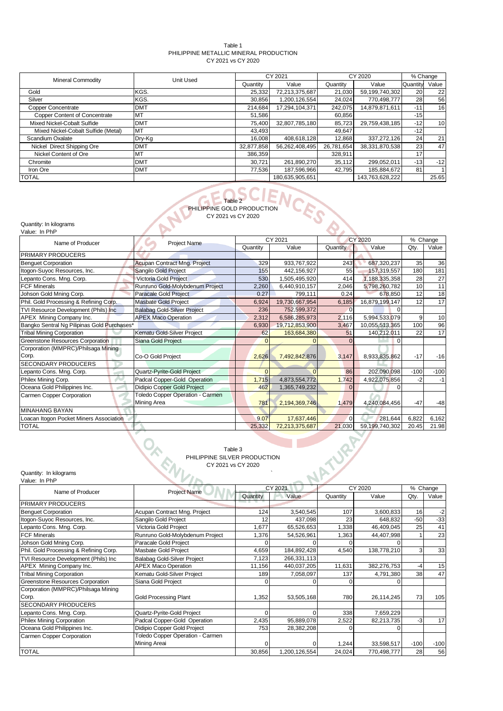### Table 1 PHILIPPINE METALLIC MINERAL PRODUCTION CY 2021 vs CY 2020

| <b>Mineral Commodity</b>             | Unit Used  |            | CY 2021         |            | CY 2020         |                 | % Change        |
|--------------------------------------|------------|------------|-----------------|------------|-----------------|-----------------|-----------------|
|                                      |            | Quantity   | Value           | Quantity   | Value           | Quantity        | Value           |
| Gold                                 | KGS.       | 25,332     | 72,213,375,687  | 21,030     | 59,199,740,302  | <b>20</b>       | 22              |
| Silver                               | KGS.       | 30,856     | 1,200,126,554   | 24,024     | 770,498,777     | 28              | 56              |
| <b>Copper Concentrate</b>            | <b>DMT</b> | 214,684    | 17,294,104,371  | 242,075    | 14,879,871,611  | $-11$           | 16              |
| <b>Copper Content of Concentrate</b> | MT         | 51,586     |                 | 60.856     |                 | $-151$          |                 |
| Mixed Nickel-Cobalt Sulfide          | <b>DMT</b> | 75,400     | 32,807,785,180  | 85,723     | 29,759,438,185  | $-12$           | 10 <sup>1</sup> |
| Mixed Nickel-Cobalt Sulfide (Metal)  | MT         | 43,493     |                 | 49.647     |                 | $-12$           |                 |
| Scandium Oxalate                     | Dry-Kg     | 16.008     | 408,618,128     | 12,868     | 337,272,126     | 24              | 21              |
| Nickel Direct Shipping Ore           | <b>DMT</b> | 32,877,858 | 56,262,408,495  | 26.781.654 | 38.331.870.538  | 23 <sub>l</sub> | 47              |
| Nickel Content of Ore                | MT         | 386,359    |                 | 328,911    |                 | 17              |                 |
| Chromite                             | <b>DMT</b> | 30,721     | 261,890,270     | 35,112     | 299,052,011     | $-13$           | $-12$           |
| Iron Ore                             | <b>DMT</b> | 77.536     | 187,596,966     | 42.795     | 185,884,672     | 81              |                 |
| <b>TOTAL</b>                         |            |            | 180.635.905.651 |            | 143.763.628.222 |                 | 25.65           |

# Table 2 PHILIPPINE GOLD PRODUCTION CY 2021 vs CY 2020

Quantity: In kilograms

| Value: In PhP                               |                                         |          |                |          |                |        |          |
|---------------------------------------------|-----------------------------------------|----------|----------------|----------|----------------|--------|----------|
| Name of Producer                            | Project Name                            |          | CY 2021        |          | CY 2020        |        | % Change |
|                                             |                                         | Quantity | Value          | Quantity | Value          | Qty.   | Value    |
| <b>PRIMARY PRODUCERS</b>                    |                                         |          |                |          |                |        |          |
| <b>Benquet Corporation</b>                  | Acupan Contract Mng. Project            | 329      | 933,767,922    | 243      | 687,320,237    | 35     | 36       |
| Itogon-Suyoc Resources, Inc.                | Sangilo Gold Project                    | 155      | 442,156,927    | 55       | 157,319,557    | 180    | 181      |
| Lepanto Cons. Mng. Corp.                    | Victoria Gold Project                   | 530      | 1,505,495,920  | 414      | 1,188,335,358  | 28     | 27       |
| <b>FCF Minerals</b>                         | Runruno Gold-Molybdenum Project         | 2,260    | 6,440,910,157  | 2,046    | 5,798,260,782  | 10     | 11       |
| Johson Gold Mning Corp.                     | <b>Paracale Gold Project</b>            | 0.27     | 799,111        | 0.24     | 678,850        | 12     | 18       |
| Phil. Gold Processing & Refining Corp.      | <b>Masbate Gold Project</b>             | 6,924    | 19,730,667,954 | 6,185    | 16,879,199,147 | 12     | 17       |
| TVI Resource Development (Phils) Inc        | <b>Balabag Gold-Silver Project</b>      | 236      | 752,599,372    | n        |                |        |          |
| APEX Mining Company Inc.                    | <b>APEX Maco Operation</b>              | 2,312    | 6,586,285,973  | 2,116    | 5,994,533,079  | 9      | 10       |
| Bangko Sentral Ng Pilipinas Gold Purchases* |                                         | 6,930    | 19,712,853,900 | 3,467    | 10,055,513,365 | 100    | 96       |
| <b>Tribal Mining Corporation</b>            | Kematu Gold-Silver Project              | 62       | 163,684,380    | 51       | 140,212,011    | 22     | 17       |
| Greenstone Resources Corporation            | Siana Gold Project                      |          |                |          | $\Omega$       |        |          |
| Corporation (MMPRC)/Philsaga Mining         |                                         |          |                |          |                |        |          |
| Corp.                                       | Co-O Gold Project                       | 2,626    | 7,492,842,876  | 3,147    | 8,933,835,862  | $-17$  | $-16$    |
| <b>SECONDARY PRODUCERS</b>                  |                                         |          |                |          |                |        |          |
| Lepanto Cons. Mng. Corp.                    | Quartz-Pyrite-Gold Project              | $\Omega$ |                | 86       | 202,090,098    | $-100$ | $-100$   |
| Philex Mining Corp.                         | Padcal Copper-Gold Operation            | 1,715    | 4,873,554,772  | 1,742    | 4,922,075,856  | -2     | $-1$     |
| Oceana Gold Philippines Inc.                | Didipio Copper Gold Project             | 462      | 1,365,749,232  | $\Omega$ | $\Omega$       |        |          |
| Carmen Copper Corporation                   | <b>Toledo Copper Operation - Carmen</b> |          |                |          |                |        |          |
|                                             | Mining Area                             | 781      | 2,194,369,746  | 1,479    | 4,240,084,456  | $-47$  | $-48$    |
| <b>MINAHANG BAYAN</b>                       |                                         |          |                |          |                |        |          |
| Loacan Itogon Pocket Miners Association     |                                         | 9.07     | 17,637,446     | $\Omega$ | 281,644        | 6,822  | 6,162    |
| <b>TOTAL</b>                                |                                         | 25,332   | 72,213,375,687 | 21,030   | 59,199,740,302 | 20.45  | 21.98    |
|                                             |                                         |          |                |          |                |        |          |

Table 3 PHILIPPINE SILVER PRODUCTION

CY 2021 vs CY 2020

Quantity: In kilograms ` Quantity: In kilograms<br>Value: In PhP

| value. III FIIF                        |                                         |          |               |          |             |        |          |
|----------------------------------------|-----------------------------------------|----------|---------------|----------|-------------|--------|----------|
| Name of Producer                       | <b>Project Name</b>                     |          | CY 2021       |          | CY 2020     |        | % Change |
|                                        |                                         | Quantity | Value         | Quantity | Value       | Qty.   | Value    |
| PRIMARY PRODUCERS                      |                                         |          |               |          |             |        |          |
| <b>Benguet Corporation</b>             | Acupan Contract Mng. Project            | 124      | 3,540,545     | 107      | 3,600,833   | 16     | $-2$     |
| Itogon-Suyoc Resources, Inc.           | Sangilo Gold Project                    | 12       | 437,098       | 23       | 648,832     | $-50$  | $-33$    |
| Lepanto Cons. Mng. Corp.               | Victoria Gold Project                   | .677     | 65,526,653    | 1,338    | 46,409,045  | 25     | 41       |
| <b>FCF Minerals</b>                    | Runruno Gold-Molybdenum Project         | 1,376    | 54,526,961    | 1,363    | 44,407,998  |        | 23       |
| Johson Gold Mning Corp.                | Paracale Gold Project                   |          |               |          |             |        |          |
| Phil. Gold Processing & Refining Corp. | Masbate Gold Project                    | 4,659    | 184,892,428   | 4,540    | 138,778,210 | 3      | 33       |
| TVI Resource Development (Phils) Inc   | Balabag Gold-Silver Project             | 7,123    | 266,331,113   |          |             |        |          |
| APEX Mining Company Inc.               | <b>APEX Maco Operation</b>              | 11,156   | 440,037,205   | 11,631   | 382,276,753 | $-4$   | 15       |
| <b>Tribal Mining Corporation</b>       | Kematu Gold-Silver Project              | 189      | 7,058,097     | 137      | 4,791,380   | 38     | 47       |
| Greenstone Resources Corporation       | Siana Gold Project                      |          |               |          |             |        |          |
| Corporation (MMPRC)/Philsaga Mining    |                                         |          |               |          |             |        |          |
| Corp.                                  | <b>Gold Processing Plant</b>            | 1,352    | 53,505,168    | 780      | 26,114,245  | 73     | 105      |
| <b>SECONDARY PRODUCERS</b>             |                                         |          |               |          |             |        |          |
| Lepanto Cons. Mng. Corp.               | Quartz-Pyrite-Gold Project              |          |               | 338      | 7,659,229   |        |          |
| <b>Philex Mining Corporation</b>       | Padcal Copper-Gold Operation            | 2,435    | 95,889,078    | 2,522    | 82,213,735  | $-3$   | 17       |
| Oceana Gold Philippines Inc.           | Didipio Copper Gold Project             | 753      | 28,382,208    |          |             |        |          |
| Carmen Copper Corporation              | <b>Toledo Copper Operation - Carmen</b> |          |               |          |             |        |          |
|                                        | Mining Areai                            |          |               | 1,244    | 33,598,517  | $-100$ | $-100$   |
| <b>TOTAL</b>                           |                                         | 30,856   | 1,200,126,554 | 24,024   | 770,498,777 | 28     | 56       |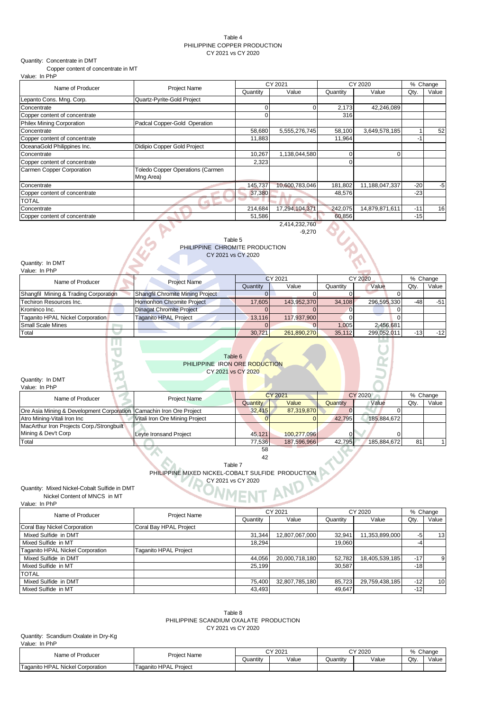### Table 4 PHILIPPINE COPPER PRODUCTION CY 2021 vs CY 2020

## Quantity: Concentrate in DMT

Copper content of concentrate in MT

| Value: In PhP |  |  |
|---------------|--|--|
|               |  |  |

| Name of Producer              | <b>Project Name</b>              |          | CY 2021        |          | CY 2020        |       | % Change |  |
|-------------------------------|----------------------------------|----------|----------------|----------|----------------|-------|----------|--|
|                               |                                  | Quantity | Value          | Quantity | Value          | Qty.  | Value    |  |
| Lepanto Cons. Mng. Corp.      | Quartz-Pyrite-Gold Project       |          |                |          |                |       |          |  |
| Concentrate                   |                                  |          |                | 2,173    | 42,246,089     |       |          |  |
| Copper content of concentrate |                                  |          |                | 316      |                |       |          |  |
| Philex Mining Corporation     | Padcal Copper-Gold Operation     |          |                |          |                |       |          |  |
| Concentrate                   |                                  | 58,680   | 5,555,276,745  | 58,100   | 3,649,578,185  |       | 52       |  |
| Copper content of concentrate |                                  | 11,883   |                | 11,964   |                | $-1$  |          |  |
| OceanaGold Philippines Inc.   | Didipio Copper Gold Project      |          |                |          |                |       |          |  |
| Concentrate                   |                                  | 10,267   | 1,138,044,580  |          | O              |       |          |  |
| Copper content of concentrate |                                  | 2,323    |                |          |                |       |          |  |
| Carmen Copper Corporation     | Toledo Copper Operations (Carmen |          |                |          |                |       |          |  |
|                               | Mng Area)                        |          |                |          |                |       |          |  |
| Concentrate                   |                                  | 145,737  | 10,600,783,046 | 181,802  | 11,188,047,337 | $-20$ | $-5$     |  |
| Copper content of concentrate |                                  | 37,380   |                | 48,576   |                | $-23$ |          |  |
| <b>TOTAL</b>                  |                                  |          |                |          |                |       |          |  |
| Concentrate                   |                                  | 214,684  | 17,294,104,371 | 242,075  | 14,879,871,611 | $-11$ | 16       |  |
| Copper content of concentrate |                                  | 51,586   |                | 60,856   |                | $-15$ |          |  |
|                               |                                  |          | 2,414,232,760  |          |                |       |          |  |

-9,270

### Table 5 PHILIPPINE CHROMITE PRODUCTION CY 2021 vs CY 2020

### Quantity: In DMT Value: In PhP

| <b>Project Name</b>              |          |             |                             | % Change    |                                            |                 |
|----------------------------------|----------|-------------|-----------------------------|-------------|--------------------------------------------|-----------------|
|                                  | Quantity | Value       | Quantity                    | Value       | Qtv                                        | Value           |
| Shangfil Chromite Mining Project |          |             |                             |             |                                            |                 |
| Homonhon Chromite Project        |          | 143.952.370 |                             |             |                                            | $-51$           |
| <b>Dinagat Chromite Project</b>  |          |             |                             |             |                                            |                 |
| Taganito HPAL Project            |          | 117.937.900 |                             |             |                                            |                 |
|                                  |          |             | 1.005                       | 2.456.681   |                                            |                 |
|                                  | 30.721   |             |                             | 299.052.011 |                                            | $-12$           |
|                                  |          |             | CY 2021<br>17.605<br>13.116 | 261.890.270 | CY 2020<br>34.108<br>296,595,330<br>35.112 | $-48$<br>$-131$ |

| Table 6 |  |  |  |
|---------|--|--|--|
|         |  |  |  |

| PHILIPPINE IRON ORE RODUCTION |                    |  |
|-------------------------------|--------------------|--|
|                               | CY 2021 vs CY 2020 |  |

# Quantity: In DMT

| Value: In PhP                                                       |                                |          |                |          |             |                 |       |
|---------------------------------------------------------------------|--------------------------------|----------|----------------|----------|-------------|-----------------|-------|
| Name of Producer                                                    | Project Name                   |          | <b>CY 2021</b> |          | CY 2020     |                 |       |
|                                                                     |                                | Quantity | Value          | Quantity | Value       | Qtv             | Value |
| Ore Asia Mining & Development Corporation Camachin Iron Ore Project |                                | 32.415   | 87.319.870     |          |             |                 |       |
| Atro Mining-Vitali Iron Inc                                         | Vitali Iron Ore Mining Project |          |                | 42.795   | 185,884,672 |                 |       |
| MacArthur Iron Projects Corp./Strongbuilt                           |                                |          |                |          |             |                 |       |
| Mining & Dev't Corp                                                 | <b>Leyte Ironsand Project</b>  | 45.121   | 100.277.096    |          |             |                 |       |
| Total                                                               |                                | 77.536   | 187,596,966    | 42.795   | 185,884,672 | 81 <sub>1</sub> |       |
|                                                                     |                                | 58       |                |          |             |                 |       |

Table 7 PHILIPPINE MIXED NICKEL-COBALT SULFIDE PRODUCTION CY 2021 vs CY 2020

42

## Quantity: Mixed Nickel-Cobalt Sulfide in DMT

Nickel Content of MNCS in MT

Value: In PhP

| Name of Producer                        | Project Name           |          | CY 2021        |          | CY 2020        |       | % Change        |
|-----------------------------------------|------------------------|----------|----------------|----------|----------------|-------|-----------------|
|                                         |                        | Quantity | Value          | Quantity | Value          | Qty.  | Value           |
| Coral Bay Nickel Corporation            | Coral Bay HPAL Project |          |                |          |                |       |                 |
| Mixed Sulfide in DMT                    |                        | 31.344   | 12,807,067,000 | 32,941   | 1,353,899,000  | -5    | 13              |
| Mixed Sulfide in MT                     |                        | 18.294   |                | 19.060   |                | -4    |                 |
| <b>Taganito HPAL Nickel Corporation</b> | Taganito HPAL Project  |          |                |          |                |       |                 |
| Mixed Sulfide in DMT                    |                        | 44,056   | 20,000,718,180 | 52,782   | 18,405,539,185 | $-17$ | 9               |
| Mixed Sulfide in MT                     |                        | 25.199   |                | 30.587   |                | $-18$ |                 |
| TOTAL                                   |                        |          |                |          |                |       |                 |
| Mixed Sulfide in DMT                    |                        | 75.400   | 32,807,785,180 | 85.723   | 29,759,438,185 | $-12$ | 10 <sup>1</sup> |
| Mixed Sulfide in MT                     |                        | 43,493   |                | 49.647   |                | $-12$ |                 |

## Table 8

PHILIPPINE SCANDIUM OXALATE PRODUCTION CY 2021 vs CY 2020

#### Quantity: Scandium Oxalate in Dry-Kg Value: In PhP

| Name of Producer                 | <b>Project Name</b>      | CY 2021  |       | CY 2020  |       | Change<br>O<br>$\sqrt{2}$ |       |
|----------------------------------|--------------------------|----------|-------|----------|-------|---------------------------|-------|
|                                  |                          | Quantity | Value | Quantitv | Value | $\bigcap_{i=1}^n$<br>wu   | Value |
| Taganito HPAL Nickel Corporation | Project<br>Taganito HPAL |          |       |          |       |                           |       |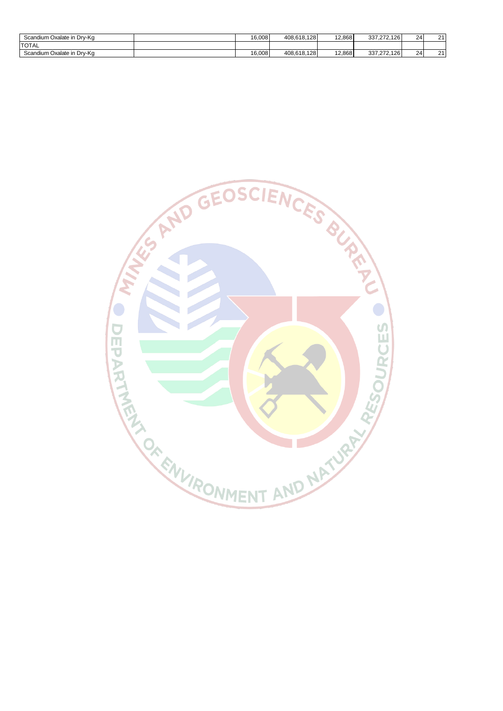| Scandium Oxalate in Drv-Kg      | 16,008 | 408.618.128      | 12.868 | 337.272.126 | 24 | $\sim$ |
|---------------------------------|--------|------------------|--------|-------------|----|--------|
| <b>TOTAL</b>                    |        |                  |        |             |    |        |
| ו Oxalate in Drv-Kα<br>Scandium | 16,008 | 408.618.<br>.128 | 12,868 | 337,272,126 | 24 | ົ      |

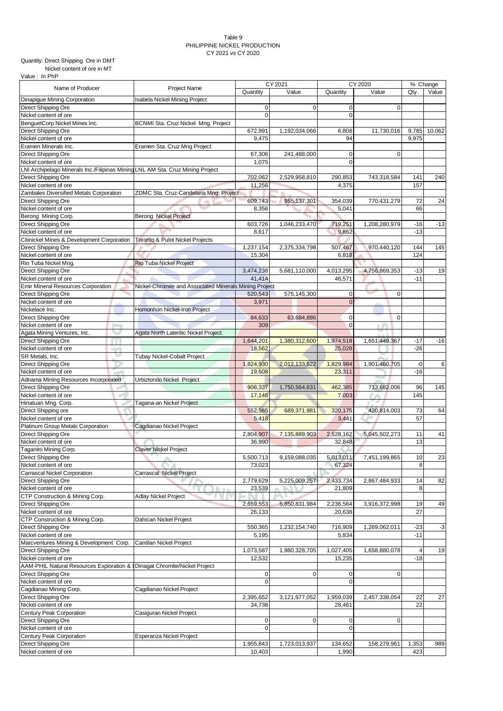### Table 9 PHILIPPINE NICKEL PRODUCTION CY 2021 vs CY 2020

Quantity: Direct Shipping Ore in DMT

 Nickel content of ore in MT Value : In PhP

|                                                                                |                                                        | CY 2021     |                | CY 2020        |               | % Change       |        |
|--------------------------------------------------------------------------------|--------------------------------------------------------|-------------|----------------|----------------|---------------|----------------|--------|
| Name of Producer                                                               | Project Name                                           | Quantity    | Value          | Quantity       | Value         | Qty.           | Value  |
| Dinapigue Mining Corporation                                                   | Isabela Nickel Mining Project                          |             |                |                |               |                |        |
| Direct Shipping Ore                                                            |                                                        | 0           | $\overline{0}$ | 0              | $\mathbf 0$   |                |        |
| Nickel content of ore                                                          |                                                        | $\mathbf 0$ |                | $\mathbf 0$    |               |                |        |
| BenguetCorp Nickel Mines Inc.                                                  | BCNMI Sta. Cruz Nickel Mng. Project                    |             |                |                |               |                |        |
| Direct Shipping Ore                                                            |                                                        | 672,991     | 1,192,034,066  | 6,808          | 11,730,016    | 9,785          | 10,062 |
| Nickel content of ore                                                          |                                                        | 9,475       |                | 94             |               | 9,975          |        |
| Eramen Minerals Inc.                                                           | Eramen Sta. Cruz Mng Project                           |             |                |                |               |                |        |
| Direct Shipping Ore                                                            |                                                        | 67,306      | 241,488,000    | 0              | $\mathbf 0$   |                |        |
| Nickel content of ore                                                          |                                                        | 1,075       |                | $\mathbf 0$    |               |                |        |
| LNI Archipelago Minerals Inc./Filipinas Mining LNL AM Sta. Cruz Mining Project |                                                        |             |                |                |               |                |        |
| Direct Shipping Ore                                                            |                                                        | 702,062     | 2,529,958,810  | 290,853        | 743,318,584   | 141            | 240    |
| Nickel content of ore                                                          |                                                        |             |                | 4,375          |               | 157            |        |
|                                                                                |                                                        | 11,256      |                |                |               |                |        |
| Zambales Diversified Metals Corporation                                        | ZDMC Sta. Cruz-Candelaria Mng. Project                 |             |                |                |               |                |        |
| Direct Shipping Ore                                                            |                                                        | 609,743     | 955,137,301    | 354,039        | 770,431,279   | 72             | 24     |
| Nickel content of ore                                                          |                                                        | 8,356       |                | 5,041          |               | 66             |        |
| Berong Mining Corp.                                                            | <b>Berong Nickel Project</b>                           |             |                |                |               |                |        |
| Direct Shipping Ore                                                            |                                                        | 603,726     | 1,046,233,470  | 719,251        | 1,208,280,979 | $-16$          | $-13$  |
| Nickel content of ore                                                          |                                                        | 8,617       |                | 9,862          |               | $-13$          |        |
| Citinickel Mines & Development Corporation                                     | <b>Toronto &amp; Pulot Nickel Projects</b>             |             |                |                |               |                |        |
| Direct Shipping Ore                                                            |                                                        | 1,237,154   | 2,375,334,798  | 507,467        | 970,440,120   | 144            | 145    |
| Nickel content of ore                                                          |                                                        | 15,304      |                | 6,818          |               | 124            |        |
| Rio Tuba Nickel Mng.                                                           | <b>Rio Tuba Nickel Project</b>                         |             |                |                |               |                |        |
| Direct Shipping Ore                                                            |                                                        | 3,474,238   | 5,681,110,000  | 4,013,295      | 4,756,869,353 | $-13$          | 19     |
| Nickel content of ore                                                          |                                                        | 41,414      |                | 46,571         |               | $-11$          |        |
| <b>Emir Mineral Resources Corporation</b>                                      | Nickel-Chromite and Associated Minerals Mining Project |             |                |                |               |                |        |
| Direct Shipping Ore                                                            |                                                        | 520,543     | 575,145,300    | 0              | 0             |                |        |
| Nickel content of ore                                                          |                                                        | 3,971       |                | $\overline{0}$ |               |                |        |
| Nickelace Inc.                                                                 | Homonhon Nickel-Iron Project                           |             |                |                |               |                |        |
| Direct Shipping Ore                                                            |                                                        | 84,633      | 63,684,886     | 0              | $\mathbf 0$   |                |        |
| Nickel content of ore                                                          |                                                        | 309         |                | $\mathbf 0$    |               |                |        |
| Agata Mining Ventures, Inc.                                                    |                                                        |             |                |                |               |                |        |
|                                                                                | Agata North Lateritic Nickel Project                   |             |                |                |               |                |        |
| Direct Shipping Ore<br>H                                                       |                                                        | 1,644,201   | 1,380,312,600  | 1,974,518      | 1,651,449,367 | $-17$          | $-16$  |
| Nickel content of ore<br><b>COLLECTION</b>                                     |                                                        | 18,562      |                | 25,028         |               | $-26$          |        |
| SR Metals, Inc.                                                                | <b>Tubay Nickel-Cobalt Project</b>                     |             |                |                |               |                |        |
| Direct Shipping Ore                                                            |                                                        | 1,824,930   | 2,012,133,522  | 1,829,984      | 1,901,460,705 | $-0$           | 6      |
| Nickel content of ore                                                          |                                                        | 19,608      |                | 23,311         |               | $-16$          |        |
| Adnama Mining Resources Incorporated                                           | Urbiztondo Nickel Project                              |             |                |                |               |                |        |
| Direct Shipping Ore                                                            |                                                        | 906,337     | 1,750,564,631  | 462,385        | 713,682,006   | 96             | 145    |
| Nickel content of ore                                                          |                                                        | 17,146      |                | 7,003          |               | 145            |        |
| Hinatuan Mng. Corp.                                                            | Tagana-an Nickel Project                               |             |                |                |               |                |        |
| Direct Shipping ore                                                            |                                                        | 552,565     | 689,371,981    | 320,175        | 420,814,003   | 73             | 64     |
| Nickel content of ore                                                          |                                                        | 5,418       |                | 3,441          |               | 57             |        |
| Platinum Group Metals Corporation                                              | Cagdianao Nickel Project                               |             |                |                |               |                |        |
| Direct Shipping Ore                                                            |                                                        | 2,804,907   | 7,135,889,903  | 2,528,162      | 5,045,502,273 | 11             | 41     |
| Nickel content of ore                                                          |                                                        | 36,990      |                | 32,848         |               | 13             |        |
| Taganito Mining Corp.                                                          | <b>Claver Nickel Project</b>                           |             |                |                |               |                |        |
| Direct Shipping Ore                                                            |                                                        | 5.500.713   | 9,159,088,035  | 5,013,011      | 7,451,199,865 | $10$           | 23     |
| Nickel content of ore                                                          |                                                        | 73,023      |                | 67,324         |               | 8              |        |
| Carrascal Nickel Corporation                                                   | Carrascal Nickel Project                               |             |                |                |               |                |        |
| Direct Shipping Ore                                                            |                                                        | 2,779,629   | 5,225,009,257  | 2,433,734      | 2,867,484,933 | 14             | 82     |
| Nickel content of ore                                                          |                                                        | 23,539      |                | 21,809         |               | 8              |        |
| CTP Construction & Mining Corp.                                                | $\mathbb{Z}$ in                                        |             |                |                |               |                |        |
|                                                                                | <b>Adlay Nickel Project</b>                            |             |                |                |               |                |        |
| Direct Shipping Ore                                                            |                                                        | 2,659,553   | 5,850,831,984  | 2,236,564      | 3,916,372,998 | 19             | 49     |
| Nickel content of ore                                                          |                                                        | 26,133      |                | 20,638         |               | 27             |        |
| CTP Construction & Mining Corp.                                                | Dahican Nickel Project                                 |             |                |                |               |                |        |
| Direct Shipping Ore                                                            |                                                        | 550,365     | 1,232,154,740  | 716,909        | 1,269,062,011 | -23            | $-3$   |
| Nickel content of ore                                                          |                                                        | 5,195       |                | 5,834          |               | $-11$          |        |
| Marcventures Mining & Development Corp.                                        | Cantilan Nickel Project                                |             |                |                |               |                |        |
| Direct Shipping Ore                                                            |                                                        | 1,073,587   | 1,980,328,705  | 1,027,405      | 1,658,880,078 | $\overline{4}$ | 19     |
| Nickel content of ore                                                          |                                                        | 12,532      |                | 15,235         |               | $-18$          |        |
| AAM-PHIL Natural Resources Exploration & Dinagat Chromite/Nickel Project       |                                                        |             |                |                |               |                |        |
| Direct Shipping Ore                                                            |                                                        | 0           | $\mathbf 0$    | 0              | $\mathbf 0$   |                |        |
| Nickel content of ore                                                          |                                                        | $\mathbf 0$ |                | 0              |               |                |        |
| Cagdianao Mining Corp.                                                         | Cagdianao Nickel Project                               |             |                |                |               |                |        |
| Direct Shipping Ore                                                            |                                                        | 2,395,652   | 3,121,977,052  | 1,959,039      | 2,457,338,054 | 22             | 27     |
| Nickel content of ore                                                          |                                                        | 34,738      |                | 28,461         |               | 22             |        |
| Century Peak Corporation                                                       | Casiguran Nickel Project                               |             |                |                |               |                |        |
| Direct Shipping Ore                                                            |                                                        |             | $\mathbf 0$    | 0              | $\mathbf 0$   |                |        |
|                                                                                |                                                        | 0           |                | $\mathbf 0$    |               |                |        |
| Nickel content of ore                                                          |                                                        | $\mathbf 0$ |                |                |               |                |        |
| Century Peak Corporation                                                       | Esperanza Nickel Project                               |             |                |                |               |                |        |
| Direct Shipping Ore                                                            |                                                        | 1,955,843   | 1,723,013,937  | 134,652        | 158,279,961   | 1,353          | 989    |
| Nickel content of ore                                                          |                                                        | 10,403      |                | 1,990          |               | 423            |        |